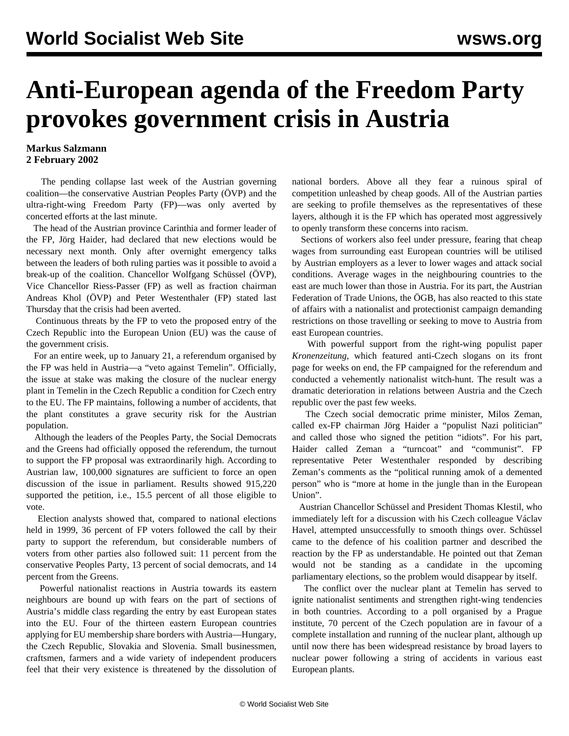## **Anti-European agenda of the Freedom Party provokes government crisis in Austria**

## **Markus Salzmann 2 February 2002**

 The pending collapse last week of the Austrian governing coalition—the conservative Austrian Peoples Party (ÖVP) and the ultra-right-wing Freedom Party (FP)—was only averted by concerted efforts at the last minute.

 The head of the Austrian province Carinthia and former leader of the FP, Jörg Haider, had declared that new elections would be necessary next month. Only after overnight emergency talks between the leaders of both ruling parties was it possible to avoid a break-up of the coalition. Chancellor Wolfgang Schüssel (ÖVP), Vice Chancellor Riess-Passer (FP) as well as fraction chairman Andreas Khol (ÖVP) and Peter Westenthaler (FP) stated last Thursday that the crisis had been averted.

 Continuous threats by the FP to veto the proposed entry of the Czech Republic into the European Union (EU) was the cause of the government crisis.

 For an entire week, up to January 21, a referendum organised by the FP was held in Austria—a "veto against Temelin". Officially, the issue at stake was making the closure of the nuclear energy plant in Temelin in the Czech Republic a condition for Czech entry to the EU. The FP maintains, following a number of accidents, that the plant constitutes a grave security risk for the Austrian population.

 Although the leaders of the Peoples Party, the Social Democrats and the Greens had officially opposed the referendum, the turnout to support the FP proposal was extraordinarily high. According to Austrian law, 100,000 signatures are sufficient to force an open discussion of the issue in parliament. Results showed 915,220 supported the petition, i.e., 15.5 percent of all those eligible to vote.

 Election analysts showed that, compared to national elections held in 1999, 36 percent of FP voters followed the call by their party to support the referendum, but considerable numbers of voters from other parties also followed suit: 11 percent from the conservative Peoples Party, 13 percent of social democrats, and 14 percent from the Greens.

 Powerful nationalist reactions in Austria towards its eastern neighbours are bound up with fears on the part of sections of Austria's middle class regarding the entry by east European states into the EU. Four of the thirteen eastern European countries applying for EU membership share borders with Austria—Hungary, the Czech Republic, Slovakia and Slovenia. Small businessmen, craftsmen, farmers and a wide variety of independent producers feel that their very existence is threatened by the dissolution of national borders. Above all they fear a ruinous spiral of competition unleashed by cheap goods. All of the Austrian parties are seeking to profile themselves as the representatives of these layers, although it is the FP which has operated most aggressively to openly transform these concerns into racism.

 Sections of workers also feel under pressure, fearing that cheap wages from surrounding east European countries will be utilised by Austrian employers as a lever to lower wages and attack social conditions. Average wages in the neighbouring countries to the east are much lower than those in Austria. For its part, the Austrian Federation of Trade Unions, the ÖGB, has also reacted to this state of affairs with a nationalist and protectionist campaign demanding restrictions on those travelling or seeking to move to Austria from east European countries.

 With powerful support from the right-wing populist paper *Kronenzeitung*, which featured anti-Czech slogans on its front page for weeks on end, the FP campaigned for the referendum and conducted a vehemently nationalist witch-hunt. The result was a dramatic deterioration in relations between Austria and the Czech republic over the past few weeks.

 The Czech social democratic prime minister, Milos Zeman, called ex-FP chairman Jörg Haider a "populist Nazi politician" and called those who signed the petition "idiots". For his part, Haider called Zeman a "turncoat" and "communist". FP representative Peter Westenthaler responded by describing Zeman's comments as the "political running amok of a demented person" who is "more at home in the jungle than in the European Union".

 Austrian Chancellor Schüssel and President Thomas Klestil, who immediately left for a discussion with his Czech colleague Václav Havel, attempted unsuccessfully to smooth things over. Schüssel came to the defence of his coalition partner and described the reaction by the FP as understandable. He pointed out that Zeman would not be standing as a candidate in the upcoming parliamentary elections, so the problem would disappear by itself.

 The conflict over the nuclear plant at Temelin has served to ignite nationalist sentiments and strengthen right-wing tendencies in both countries. According to a poll organised by a Prague institute, 70 percent of the Czech population are in favour of a complete installation and running of the nuclear plant, although up until now there has been widespread resistance by broad layers to nuclear power following a string of accidents in various east European plants.